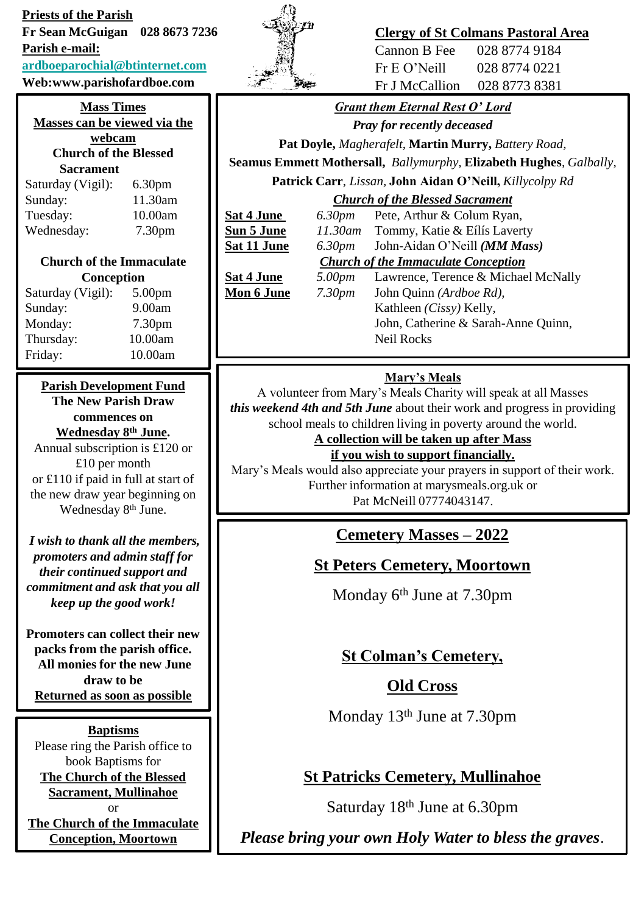**Priests of the Parish**

**Fr Sean McGuigan 028 8673 7236 Parish e-mail:**

#### **[ardboeparochial@btinternet.com](mailto:ardboeparochial@btinternet.com)**

**Web:www.parishofardboe.com**

#### **Mass Times Masses can be viewed via the**

**webcam Church of the Blessed Sacrament**

| Saturday (Vigil): | 6.30 <sub>pm</sub> |
|-------------------|--------------------|
| Sunday:           | 11.30am            |
| Tuesday:          | 10.00am            |
| Wednesday:        | 7.30 <sub>pm</sub> |

#### **Church of the Immaculate Conception**

| Saturday (Vigil): | 5.00 <sub>pm</sub> |
|-------------------|--------------------|
| Sunday:           | 9.00am             |
| Monday:           | 7.30 <sub>pm</sub> |
| Thursday:         | 10.00am            |
| Friday:           | 10.00am            |

### **Parish Development Fund**

**The New Parish Draw commences on Wednesday 8th June.**

Annual subscription is £120 or £10 per month or £110 if paid in full at start of the new draw year beginning on Wednesday 8<sup>th</sup> June.

*I wish to thank all the members, promoters and admin staff for their continued support and commitment and ask that you all keep up the good work!*

**Promoters can collect their new packs from the parish office. All monies for the new June draw to be Returned as soon as possible**

**Baptisms** Please ring the Parish office to book Baptisms for **The Church of the Blessed Sacrament, Mullinahoe** or **The Church of the Immaculate Conception, Moortown**



### **Clergy of St Colmans Pastoral Area**

| Cannon B Fee   | 028 8774 9184 |
|----------------|---------------|
| Fr E O' Neill  | 028 8774 0221 |
| Fr J McCallion | 028 8773 8381 |

## *Grant them Eternal Rest O' Lord*

*Pray for recently deceased*

**Pat Doyle,** *Magherafelt,* **Martin Murry,** *Battery Road,* 

**Seamus Emmett Mothersall,** *Ballymurphy,* **Elizabeth Hughes***, Galbally,*  **Patrick Carr**, *Lissan,* **John Aidan O'Neill,** *Killycolpy Rd*

### *Church of the Blessed Sacrament*

**Sat 4 June** *6.30pm* Pete, Arthur & Colum Ryan,

**Sun 5 June** *11.30am* Tommy, Katie & Eílís Laverty **Sat 11 June** *6.30pm* John-Aidan O'Neill *(MM Mass) Church of the Immaculate Conception* **Sat 4 June** *5.00pm* Lawrence, Terence & Michael McNally **Mon 6 June** *7.30pm* John Quinn *(Ardboe Rd),* Kathleen *(Cissy)* Kelly, John, Catherine & Sarah-Anne Quinn, Neil Rocks

### **Mary's Meals**

A volunteer from Mary's Meals Charity will speak at all Masses *this weekend 4th and 5th June* about their work and progress in providing school meals to children living in poverty around the world.

**A collection will be taken up after Mass** 

**if you wish to support financially.**  Mary's Meals would also appreciate your prayers in support of their work. Further information at marysmeals.org.uk or Pat McNeill 07774043147.

# **Cemetery Masses – 2022**

### **St Peters Cemetery, Moortown**

Monday 6<sup>th</sup> June at 7.30pm

## **St Colman's Cemetery,**

## **Old Cross**

Monday 13<sup>th</sup> June at 7.30pm

## **St Patricks Cemetery, Mullinahoe**

Saturday 18th June at 6.30pm

*Please bring your own Holy Water to bless the graves*.